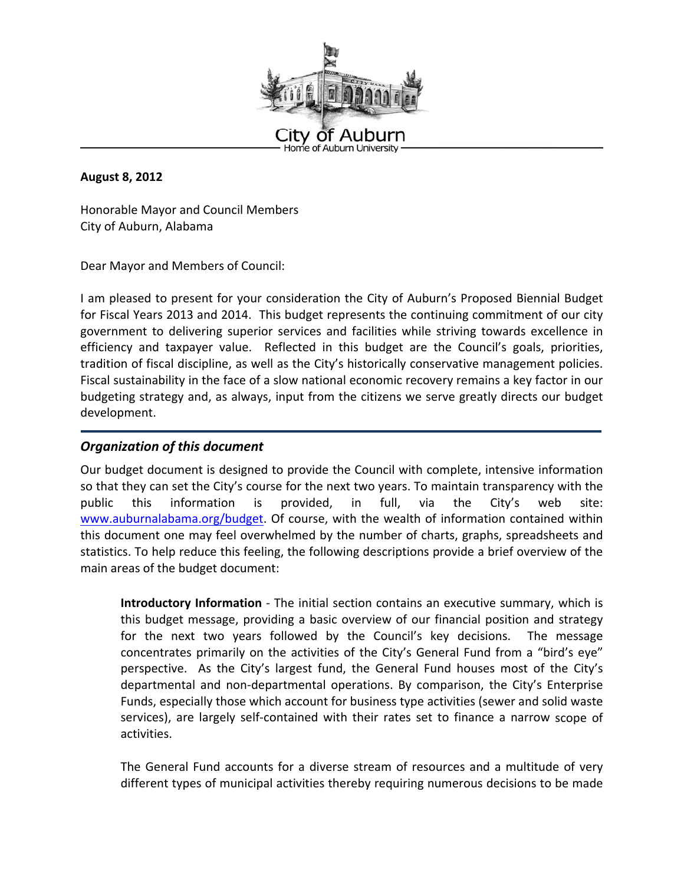

**August 8, 2012**

Honorable Mayor and Council Members City of Auburn, Alabama

Dear Mayor and Members of Council:

I am pleased to present for your consideration the City of Auburn's Proposed Biennial Budget for Fiscal Years 2013 and 2014. This budget represents the continuing commitment of our city government to delivering superior services and facilities while striving towards excellence in efficiency and taxpayer value. Reflected in this budget are the Council's goals, priorities, tradition of fiscal discipline, as well as the City's historically conservative management policies. Fiscal sustainability in the face of a slow national economic recovery remains a key factor in our budgeting strategy and, as always, input from the citizens we serve greatly directs our budget development.

## *Organization of this document*

Our budget document is designed to provide the Council with complete, intensive information so that they can set the City's course for the next two years. To maintain transparency with the public this information is provided, in full, via the City's web site: www.auburnalabama.org/budget. Of course, with the wealth of information contained within this document one may feel overwhelmed by the number of charts, graphs, spreadsheets and statistics. To help reduce this feeling, the following descriptions provide a brief overview of the main areas of the budget document:

**Introductory Information** - The initial section contains an executive summary, which is this budget message, providing a basic overview of our financial position and strategy for the next two years followed by the Council's key decisions. The message concentrates primarily on the activities of the City's General Fund from a "bird's eye" perspective. As the City's largest fund, the General Fund houses most of the City's departmental and non‐departmental operations. By comparison, the City's Enterprise Funds, especially those which account for business type activities (sewer and solid waste services), are largely self-contained with their rates set to finance a narrow scope of activities.

The General Fund accounts for a diverse stream of resources and a multitude of very different types of municipal activities thereby requiring numerous decisions to be made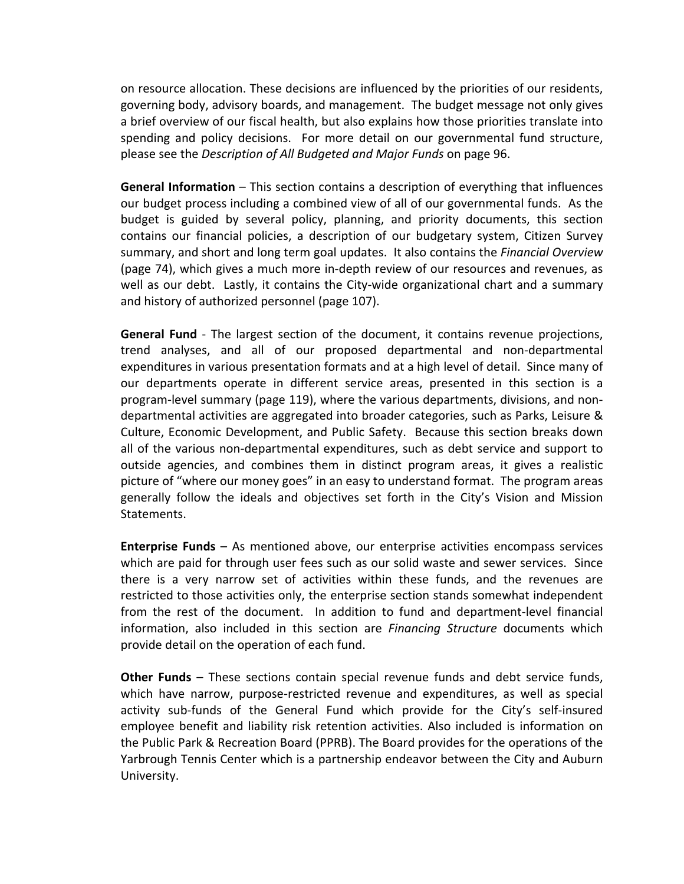on resource allocation. These decisions are influenced by the priorities of our residents, governing body, advisory boards, and management. The budget message not only gives a brief overview of our fiscal health, but also explains how those priorities translate into spending and policy decisions. For more detail on our governmental fund structure, please see the *Description of All Budgeted and Major Funds* on page 96.

**General Information** – This section contains a description of everything that influences our budget process including a combined view of all of our governmental funds. As the budget is guided by several policy, planning, and priority documents, this section contains our financial policies, a description of our budgetary system, Citizen Survey summary, and short and long term goal updates. It also contains the *Financial Overview* (page 74), which gives a much more in‐depth review of our resources and revenues, as well as our debt. Lastly, it contains the City-wide organizational chart and a summary and history of authorized personnel (page 107).

**General Fund** ‐ The largest section of the document, it contains revenue projections, trend analyses, and all of our proposed departmental and non‐departmental expenditures in various presentation formats and at a high level of detail. Since many of our departments operate in different service areas, presented in this section is a program‐level summary (page 119), where the various departments, divisions, and non‐ departmental activities are aggregated into broader categories, such as Parks, Leisure & Culture, Economic Development, and Public Safety. Because this section breaks down all of the various non‐departmental expenditures, such as debt service and support to outside agencies, and combines them in distinct program areas, it gives a realistic picture of "where our money goes" in an easy to understand format. The program areas generally follow the ideals and objectives set forth in the City's Vision and Mission Statements.

**Enterprise Funds** – As mentioned above, our enterprise activities encompass services which are paid for through user fees such as our solid waste and sewer services. Since there is a very narrow set of activities within these funds, and the revenues are restricted to those activities only, the enterprise section stands somewhat independent from the rest of the document. In addition to fund and department-level financial information, also included in this section are *Financing Structure* documents which provide detail on the operation of each fund.

**Other Funds** – These sections contain special revenue funds and debt service funds, which have narrow, purpose-restricted revenue and expenditures, as well as special activity sub-funds of the General Fund which provide for the City's self-insured employee benefit and liability risk retention activities. Also included is information on the Public Park & Recreation Board (PPRB). The Board provides for the operations of the Yarbrough Tennis Center which is a partnership endeavor between the City and Auburn University.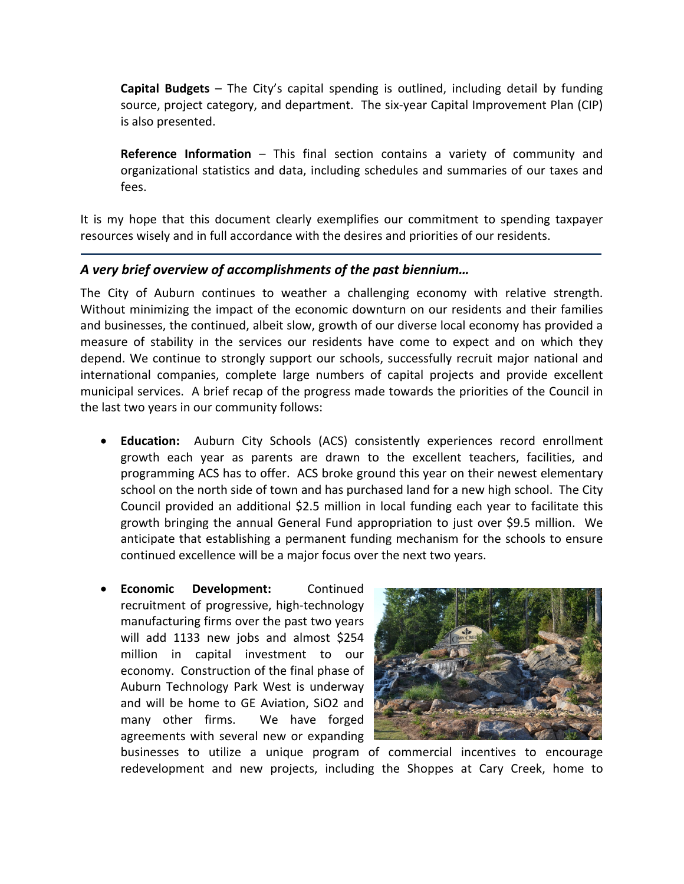**Capital Budgets** – The City's capital spending is outlined, including detail by funding source, project category, and department. The six-year Capital Improvement Plan (CIP) is also presented.

**Reference Information** – This final section contains a variety of community and organizational statistics and data, including schedules and summaries of our taxes and fees.

It is my hope that this document clearly exemplifies our commitment to spending taxpayer resources wisely and in full accordance with the desires and priorities of our residents.

# *A very brief overview of accomplishments of the past biennium…*

The City of Auburn continues to weather a challenging economy with relative strength. Without minimizing the impact of the economic downturn on our residents and their families and businesses, the continued, albeit slow, growth of our diverse local economy has provided a measure of stability in the services our residents have come to expect and on which they depend. We continue to strongly support our schools, successfully recruit major national and international companies, complete large numbers of capital projects and provide excellent municipal services. A brief recap of the progress made towards the priorities of the Council in the last two years in our community follows:

- **Education:** Auburn City Schools (ACS) consistently experiences record enrollment growth each year as parents are drawn to the excellent teachers, facilities, and programming ACS has to offer. ACS broke ground this year on their newest elementary school on the north side of town and has purchased land for a new high school. The City Council provided an additional \$2.5 million in local funding each year to facilitate this growth bringing the annual General Fund appropriation to just over \$9.5 million. We anticipate that establishing a permanent funding mechanism for the schools to ensure continued excellence will be a major focus over the next two years.
- **Economic Development:**  Continued recruitment of progressive, high‐technology manufacturing firms over the past two years will add 1133 new jobs and almost \$254 million in capital investment to our economy. Construction of the final phase of Auburn Technology Park West is underway and will be home to GE Aviation, SiO2 and many other firms. We have forged agreements with several new or expanding



businesses to utilize a unique program of commercial incentives to encourage redevelopment and new projects, including the Shoppes at Cary Creek, home to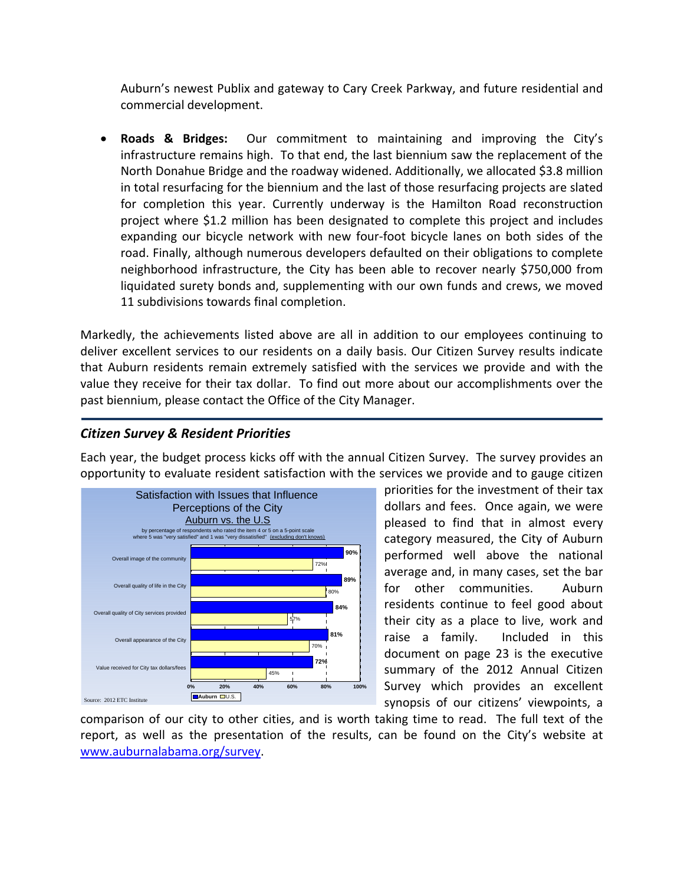Auburn's newest Publix and gateway to Cary Creek Parkway, and future residential and commercial development.

 **Roads & Bridges:** Our commitment to maintaining and improving the City's infrastructure remains high. To that end, the last biennium saw the replacement of the North Donahue Bridge and the roadway widened. Additionally, we allocated \$3.8 million in total resurfacing for the biennium and the last of those resurfacing projects are slated for completion this year. Currently underway is the Hamilton Road reconstruction project where \$1.2 million has been designated to complete this project and includes expanding our bicycle network with new four‐foot bicycle lanes on both sides of the road. Finally, although numerous developers defaulted on their obligations to complete neighborhood infrastructure, the City has been able to recover nearly \$750,000 from liquidated surety bonds and, supplementing with our own funds and crews, we moved 11 subdivisions towards final completion.

Markedly, the achievements listed above are all in addition to our employees continuing to deliver excellent services to our residents on a daily basis. Our Citizen Survey results indicate that Auburn residents remain extremely satisfied with the services we provide and with the value they receive for their tax dollar. To find out more about our accomplishments over the past biennium, please contact the Office of the City Manager.

# *Citizen Survey & Resident Priorities*

Each year, the budget process kicks off with the annual Citizen Survey. The survey provides an opportunity to evaluate resident satisfaction with the services we provide and to gauge citizen



priorities for the investment of their tax dollars and fees. Once again, we were pleased to find that in almost every category measured, the City of Auburn performed well above the national average and, in many cases, set the bar for other communities. Auburn residents continue to feel good about their city as a place to live, work and raise a family. Included in this document on page 23 is the executive summary of the 2012 Annual Citizen Survey which provides an excellent synopsis of our citizens' viewpoints, a

comparison of our city to other cities, and is worth taking time to read. The full text of the report, as well as the presentation of the results, can be found on the City's website at www.auburnalabama.org/survey.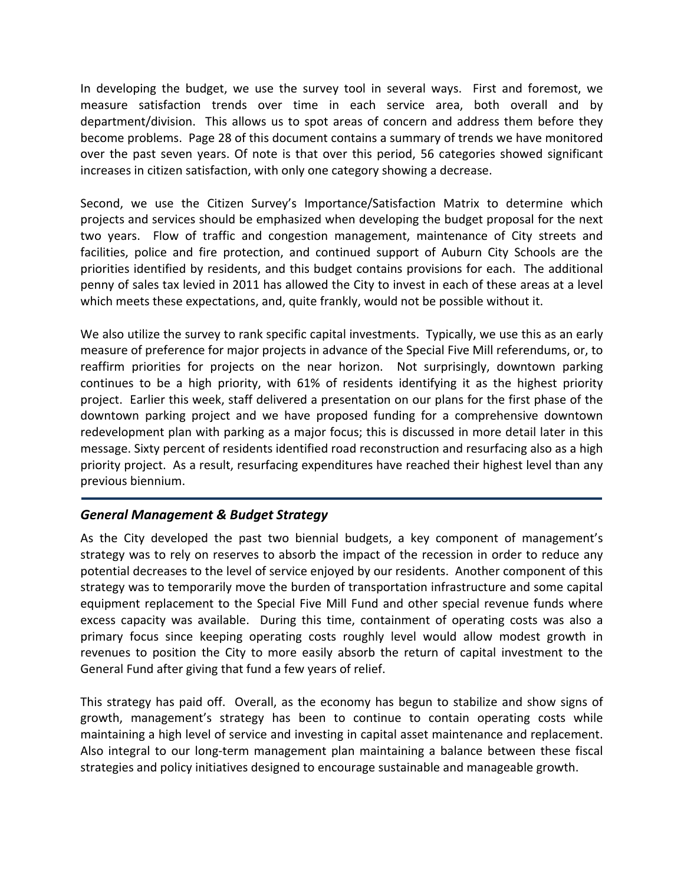In developing the budget, we use the survey tool in several ways. First and foremost, we measure satisfaction trends over time in each service area, both overall and by department/division. This allows us to spot areas of concern and address them before they become problems. Page 28 of this document contains a summary of trends we have monitored over the past seven years. Of note is that over this period, 56 categories showed significant increases in citizen satisfaction, with only one category showing a decrease.

Second, we use the Citizen Survey's Importance/Satisfaction Matrix to determine which projects and services should be emphasized when developing the budget proposal for the next two years. Flow of traffic and congestion management, maintenance of City streets and facilities, police and fire protection, and continued support of Auburn City Schools are the priorities identified by residents, and this budget contains provisions for each. The additional penny of sales tax levied in 2011 has allowed the City to invest in each of these areas at a level which meets these expectations, and, quite frankly, would not be possible without it.

We also utilize the survey to rank specific capital investments. Typically, we use this as an early measure of preference for major projects in advance of the Special Five Mill referendums, or, to reaffirm priorities for projects on the near horizon. Not surprisingly, downtown parking continues to be a high priority, with 61% of residents identifying it as the highest priority project. Earlier this week, staff delivered a presentation on our plans for the first phase of the downtown parking project and we have proposed funding for a comprehensive downtown redevelopment plan with parking as a major focus; this is discussed in more detail later in this message. Sixty percent of residents identified road reconstruction and resurfacing also as a high priority project. As a result, resurfacing expenditures have reached their highest level than any previous biennium.

### *General Management & Budget Strategy*

As the City developed the past two biennial budgets, a key component of management's strategy was to rely on reserves to absorb the impact of the recession in order to reduce any potential decreases to the level of service enjoyed by our residents. Another component of this strategy was to temporarily move the burden of transportation infrastructure and some capital equipment replacement to the Special Five Mill Fund and other special revenue funds where excess capacity was available. During this time, containment of operating costs was also a primary focus since keeping operating costs roughly level would allow modest growth in revenues to position the City to more easily absorb the return of capital investment to the General Fund after giving that fund a few years of relief.

This strategy has paid off. Overall, as the economy has begun to stabilize and show signs of growth, management's strategy has been to continue to contain operating costs while maintaining a high level of service and investing in capital asset maintenance and replacement. Also integral to our long‐term management plan maintaining a balance between these fiscal strategies and policy initiatives designed to encourage sustainable and manageable growth.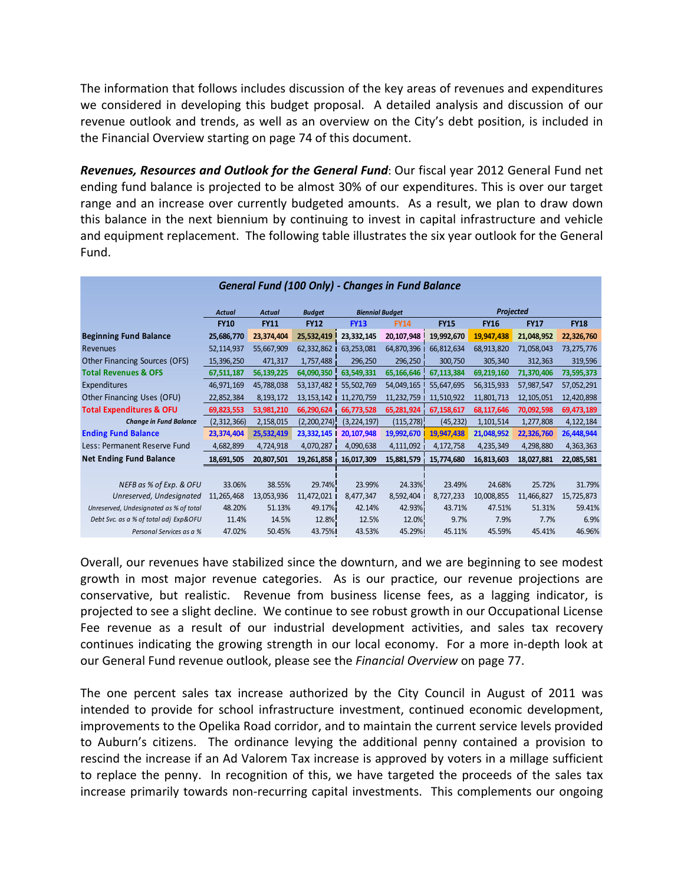The information that follows includes discussion of the key areas of revenues and expenditures we considered in developing this budget proposal. A detailed analysis and discussion of our revenue outlook and trends, as well as an overview on the City's debt position, is included in the Financial Overview starting on page 74 of this document.

*Revenues, Resources and Outlook for the General Fund*: Our fiscal year 2012 General Fund net ending fund balance is projected to be almost 30% of our expenditures. This is over our target range and an increase over currently budgeted amounts. As a result, we plan to draw down this balance in the next biennium by continuing to invest in capital infrastructure and vehicle and equipment replacement. The following table illustrates the six year outlook for the General Fund.

| General Fund (100 Only) - Changes in Fund Balance |               |               |               |                        |             |             |             |              |             |  |  |
|---------------------------------------------------|---------------|---------------|---------------|------------------------|-------------|-------------|-------------|--------------|-------------|--|--|
|                                                   | <b>Actual</b> | <b>Actual</b> | <b>Budget</b> | <b>Biennial Budget</b> |             | Projected   |             |              |             |  |  |
|                                                   | <b>FY10</b>   | <b>FY11</b>   | <b>FY12</b>   | <b>FY13</b>            | <b>FY14</b> | <b>FY15</b> | <b>FY16</b> | <b>FY17</b>  | <b>FY18</b> |  |  |
| <b>Beginning Fund Balance</b>                     | 25,686,770    | 23,374,404    | 25,532,419    | 23,332,145             | 20,107,948  | 19,992,670  | 19,947,438  | 21,048,952   | 22,326,760  |  |  |
| Revenues                                          | 52,114,937    | 55,667,909    | 62,332,862    | 63,253,081             | 64,870,396  | 66,812,634  | 68,913,820  | 71,058,043   | 73,275,776  |  |  |
| Other Financing Sources (OFS)                     | 15,396,250    | 471,317       | 1,757,488     | 296,250                | 296,250     | 300,750     | 305,340     | 312,363      | 319,596     |  |  |
| <b>Total Revenues &amp; OFS</b>                   | 67,511,187    | 56,139,225    | 64,090,350    | 63,549,331             | 65,166,646  | 67,113,384  | 69,219,160  | 71,370,406   | 73,595,373  |  |  |
| Expenditures                                      | 46,971,169    | 45,788,038    | 53,137,482    | 55,502,769             | 54,049,165  | 55,647,695  | 56,315,933  | 57,987,547   | 57,052,291  |  |  |
| Other Financing Uses (OFU)                        | 22,852,384    | 8,193,172     | 13, 153, 142  | 11,270,759             | 11,232,759  | 11,510,922  | 11,801,713  | 12, 105, 051 | 12,420,898  |  |  |
| <b>Total Expenditures &amp; OFU</b>               | 69,823,553    | 53,981,210    | 66,290,624    | 66,773,528             | 65,281,924  | 67,158,617  | 68,117,646  | 70,092,598   | 69,473,189  |  |  |
| <b>Change in Fund Balance</b>                     | (2,312,366)   | 2,158,015     | (2,200,274)   | (3, 224, 197)          | (115, 278)  | (45, 232)   | 1,101,514   | 1,277,808    | 4, 122, 184 |  |  |
| <b>Ending Fund Balance</b>                        | 23,374,404    | 25,532,419    | 23,332,145    | 20,107,948             | 19,992,670  | 19,947,438  | 21,048,952  | 22,326,760   | 26,448,944  |  |  |
| Less: Permanent Reserve Fund                      | 4,682,899     | 4,724,918     | 4,070,287     | 4,090,638              | 4,111,092   | 4,172,758   | 4,235,349   | 4,298,880    | 4,363,363   |  |  |
| <b>Net Ending Fund Balance</b>                    | 18,691,505    | 20,807,501    | 19,261,858    | 16,017,309             | 15,881,579  | 15,774,680  | 16,813,603  | 18,027,881   | 22,085,581  |  |  |
|                                                   |               |               |               |                        |             |             |             |              |             |  |  |
| NEFB as % of Exp. & OFU                           | 33.06%        | 38.55%        | 29.74%        | 23.99%                 | 24.33%      | 23.49%      | 24.68%      | 25.72%       | 31.79%      |  |  |
| Unreserved, Undesignated                          | 11,265,468    | 13,053,936    | 11,472,021 l  | 8,477,347              | 8,592,404   | 8,727,233   | 10,008,855  | 11,466,827   | 15,725,873  |  |  |
| Unreserved, Undesignated as % of total            | 48.20%        | 51.13%        | 49.17%        | 42.14%                 | 42.93%      | 43.71%      | 47.51%      | 51.31%       | 59.41%      |  |  |
| Debt Svc. as a % of total adj Exp&OFU             | 11.4%         | 14.5%         | 12.8%         | 12.5%                  | 12.0%       | 9.7%        | 7.9%        | 7.7%         | 6.9%        |  |  |
| Personal Services as a %                          | 47.02%        | 50.45%        | 43.75%        | 43.53%                 | 45.29%      | 45.11%      | 45.59%      | 45.41%       | 46.96%      |  |  |

Overall, our revenues have stabilized since the downturn, and we are beginning to see modest growth in most major revenue categories. As is our practice, our revenue projections are conservative, but realistic. Revenue from business license fees, as a lagging indicator, is projected to see a slight decline. We continue to see robust growth in our Occupational License Fee revenue as a result of our industrial development activities, and sales tax recovery continues indicating the growing strength in our local economy. For a more in‐depth look at our General Fund revenue outlook, please see the *Financial Overview* on page 77.

The one percent sales tax increase authorized by the City Council in August of 2011 was intended to provide for school infrastructure investment, continued economic development, improvements to the Opelika Road corridor, and to maintain the current service levels provided to Auburn's citizens. The ordinance levying the additional penny contained a provision to rescind the increase if an Ad Valorem Tax increase is approved by voters in a millage sufficient to replace the penny. In recognition of this, we have targeted the proceeds of the sales tax increase primarily towards non-recurring capital investments. This complements our ongoing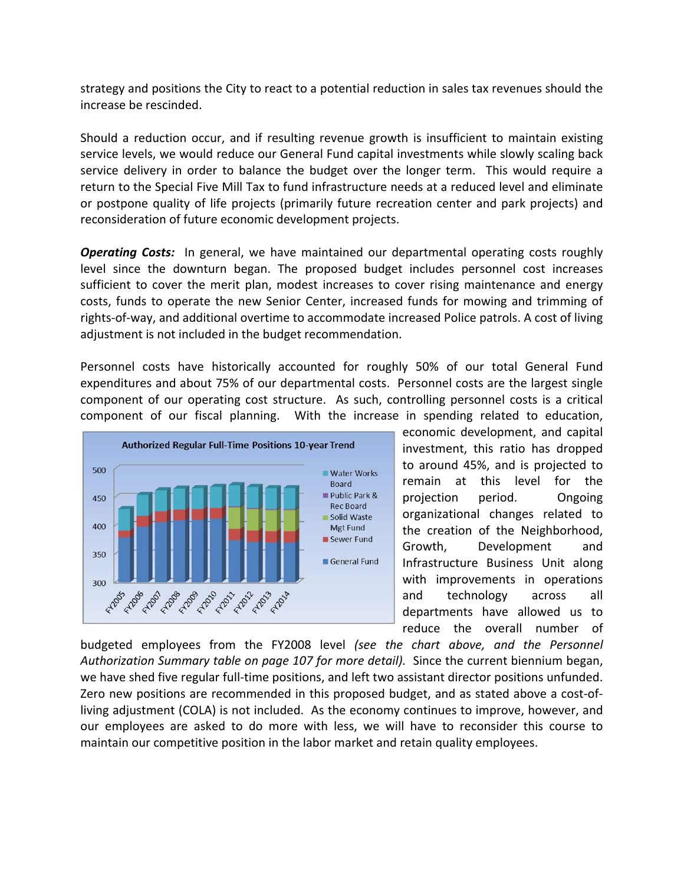strategy and positions the City to react to a potential reduction in sales tax revenues should the increase be rescinded.

Should a reduction occur, and if resulting revenue growth is insufficient to maintain existing service levels, we would reduce our General Fund capital investments while slowly scaling back service delivery in order to balance the budget over the longer term. This would require a return to the Special Five Mill Tax to fund infrastructure needs at a reduced level and eliminate or postpone quality of life projects (primarily future recreation center and park projects) and reconsideration of future economic development projects.

**Operating Costs:** In general, we have maintained our departmental operating costs roughly level since the downturn began. The proposed budget includes personnel cost increases sufficient to cover the merit plan, modest increases to cover rising maintenance and energy costs, funds to operate the new Senior Center, increased funds for mowing and trimming of rights‐of‐way, and additional overtime to accommodate increased Police patrols. A cost of living adjustment is not included in the budget recommendation.

Personnel costs have historically accounted for roughly 50% of our total General Fund expenditures and about 75% of our departmental costs. Personnel costs are the largest single component of our operating cost structure. As such, controlling personnel costs is a critical component of our fiscal planning. With the increase in spending related to education,



economic development, and capital investment, this ratio has dropped to around 45%, and is projected to remain at this level for the projection period. Ongoing organizational changes related to the creation of the Neighborhood, Growth, Development and Infrastructure Business Unit along with improvements in operations and technology across all departments have allowed us to reduce the overall number of

budgeted employees from the FY2008 level *(see the chart above, and the Personnel Authorization Summary table on page 107 for more detail).* Since the current biennium began, we have shed five regular full-time positions, and left two assistant director positions unfunded. Zero new positions are recommended in this proposed budget, and as stated above a cost-ofliving adjustment (COLA) is not included. As the economy continues to improve, however, and our employees are asked to do more with less, we will have to reconsider this course to maintain our competitive position in the labor market and retain quality employees.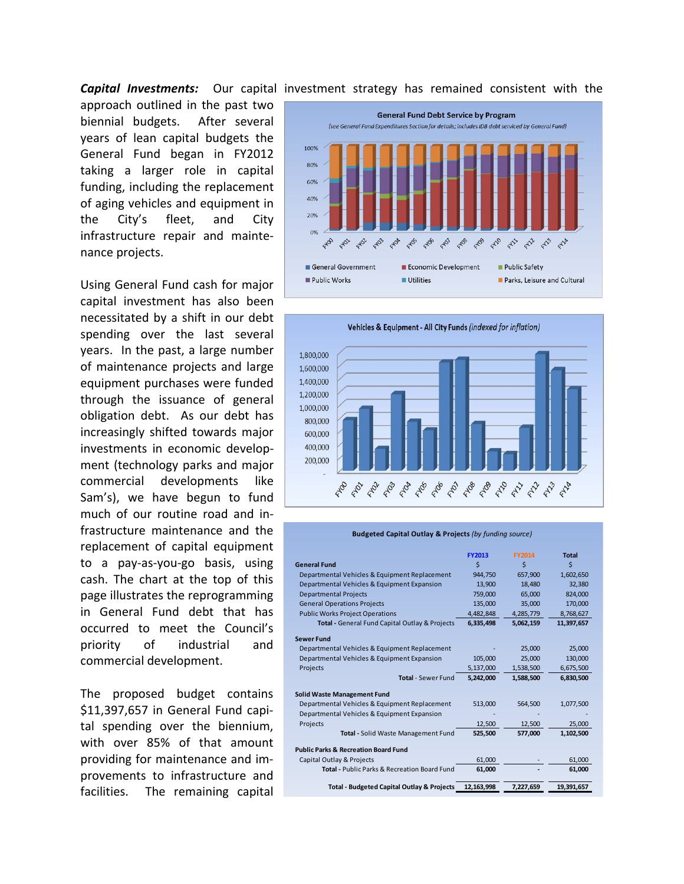#### **Capital Investments:** Our capital investment strategy has remained consistent with the

approach outlined in the past two biennial budgets. After several years of lean capital budgets the General Fund began in FY2012 taking a larger role in capital funding, including the replacement of aging vehicles and equipment in the City's fleet, and City infrastructure repair and mainte‐ nance projects.

Using General Fund cash for major capital investment has also been necessitated by a shift in our debt spending over the last several years. In the past, a large number of maintenance projects and large equipment purchases were funded through the issuance of general obligation debt. As our debt has increasingly shifted towards major investments in economic develop‐ ment (technology parks and major commercial developments like Sam's), we have begun to fund much of our routine road and in‐ frastructure maintenance and the replacement of capital equipment to a pay‐as‐you‐go basis, using cash. The chart at the top of this page illustrates the reprogramming in General Fund debt that has occurred to meet the Council's priority of industrial and commercial development.

The proposed budget contains \$11,397,657 in General Fund capital spending over the biennium, with over 85% of that amount providing for maintenance and im‐ provements to infrastructure and facilities. The remaining capital





| <b>Budgeted Capital Outlay &amp; Projects (by funding source)</b> |               |               |              |  |  |  |  |
|-------------------------------------------------------------------|---------------|---------------|--------------|--|--|--|--|
|                                                                   | <b>FY2013</b> | <b>FY2014</b> | <b>Total</b> |  |  |  |  |
| <b>General Fund</b>                                               | \$            | \$            | \$           |  |  |  |  |
| Departmental Vehicles & Equipment Replacement                     | 944,750       | 657,900       | 1,602,650    |  |  |  |  |
| Departmental Vehicles & Equipment Expansion                       | 13,900        | 18.480        | 32,380       |  |  |  |  |
| <b>Departmental Projects</b>                                      | 759,000       | 65,000        | 824,000      |  |  |  |  |
| <b>General Operations Projects</b>                                | 135,000       | 35,000        | 170,000      |  |  |  |  |
| <b>Public Works Project Operations</b>                            | 4,482,848     | 4,285,779     | 8,768,627    |  |  |  |  |
| Total - General Fund Capital Outlay & Projects                    | 6,335,498     | 5,062,159     | 11,397,657   |  |  |  |  |
| <b>Sewer Fund</b>                                                 |               |               |              |  |  |  |  |
| Departmental Vehicles & Equipment Replacement                     |               | 25,000        | 25,000       |  |  |  |  |
| Departmental Vehicles & Equipment Expansion                       | 105,000       | 25,000        | 130,000      |  |  |  |  |
| Projects                                                          | 5,137,000     | 1,538,500     | 6,675,500    |  |  |  |  |
| <b>Total</b> - Sewer Fund                                         | 5,242,000     | 1,588,500     | 6,830,500    |  |  |  |  |
| Solid Waste Management Fund                                       |               |               |              |  |  |  |  |
| Departmental Vehicles & Equipment Replacement                     | 513,000       | 564,500       | 1,077,500    |  |  |  |  |
| Departmental Vehicles & Equipment Expansion                       |               |               |              |  |  |  |  |
| Projects                                                          | 12,500        | 12,500        | 25,000       |  |  |  |  |
| <b>Total - Solid Waste Management Fund</b>                        | 525,500       | 577,000       | 1,102,500    |  |  |  |  |
| <b>Public Parks &amp; Recreation Board Fund</b>                   |               |               |              |  |  |  |  |
| Capital Outlay & Projects                                         | 61,000        |               | 61,000       |  |  |  |  |
| <b>Total - Public Parks &amp; Recreation Board Fund</b>           | 61,000        |               | 61,000       |  |  |  |  |
| <b>Total - Budgeted Capital Outlay &amp; Projects</b>             | 12,163,998    | 7,227,659     | 19,391,657   |  |  |  |  |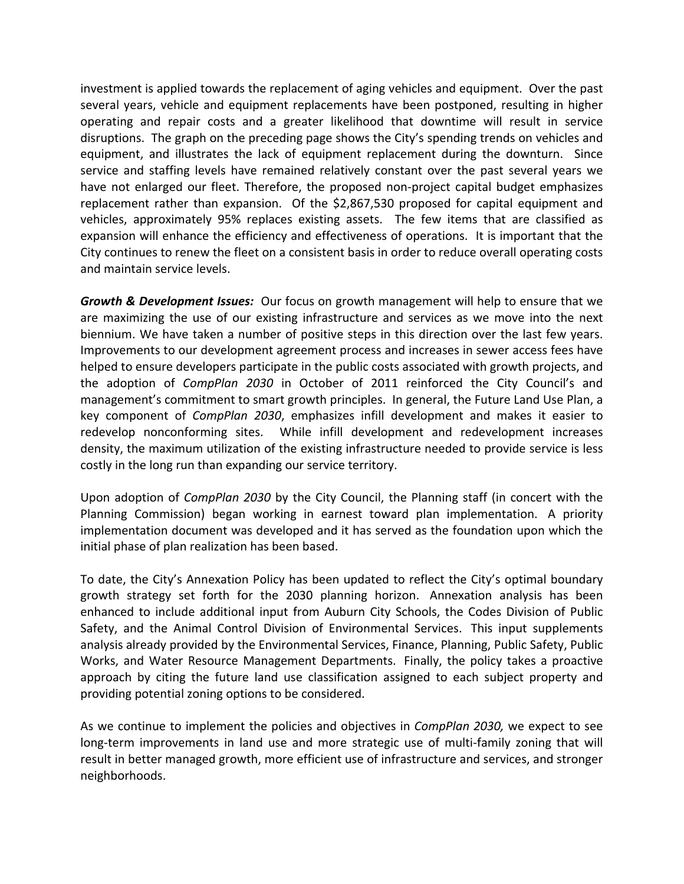investment is applied towards the replacement of aging vehicles and equipment. Over the past several years, vehicle and equipment replacements have been postponed, resulting in higher operating and repair costs and a greater likelihood that downtime will result in service disruptions. The graph on the preceding page shows the City's spending trends on vehicles and equipment, and illustrates the lack of equipment replacement during the downturn. Since service and staffing levels have remained relatively constant over the past several years we have not enlarged our fleet. Therefore, the proposed non-project capital budget emphasizes replacement rather than expansion. Of the \$2,867,530 proposed for capital equipment and vehicles, approximately 95% replaces existing assets. The few items that are classified as expansion will enhance the efficiency and effectiveness of operations. It is important that the City continues to renew the fleet on a consistent basis in order to reduce overall operating costs and maintain service levels.

*Growth & Development Issues:* Our focus on growth management will help to ensure that we are maximizing the use of our existing infrastructure and services as we move into the next biennium. We have taken a number of positive steps in this direction over the last few years. Improvements to our development agreement process and increases in sewer access fees have helped to ensure developers participate in the public costs associated with growth projects, and the adoption of *CompPlan 2030* in October of 2011 reinforced the City Council's and management's commitment to smart growth principles. In general, the Future Land Use Plan, a key component of *CompPlan 2030*, emphasizes infill development and makes it easier to redevelop nonconforming sites. While infill development and redevelopment increases density, the maximum utilization of the existing infrastructure needed to provide service is less costly in the long run than expanding our service territory.

Upon adoption of *CompPlan 2030* by the City Council, the Planning staff (in concert with the Planning Commission) began working in earnest toward plan implementation. A priority implementation document was developed and it has served as the foundation upon which the initial phase of plan realization has been based.

To date, the City's Annexation Policy has been updated to reflect the City's optimal boundary growth strategy set forth for the 2030 planning horizon. Annexation analysis has been enhanced to include additional input from Auburn City Schools, the Codes Division of Public Safety, and the Animal Control Division of Environmental Services. This input supplements analysis already provided by the Environmental Services, Finance, Planning, Public Safety, Public Works, and Water Resource Management Departments. Finally, the policy takes a proactive approach by citing the future land use classification assigned to each subject property and providing potential zoning options to be considered.

As we continue to implement the policies and objectives in *CompPlan 2030,* we expect to see long-term improvements in land use and more strategic use of multi-family zoning that will result in better managed growth, more efficient use of infrastructure and services, and stronger neighborhoods.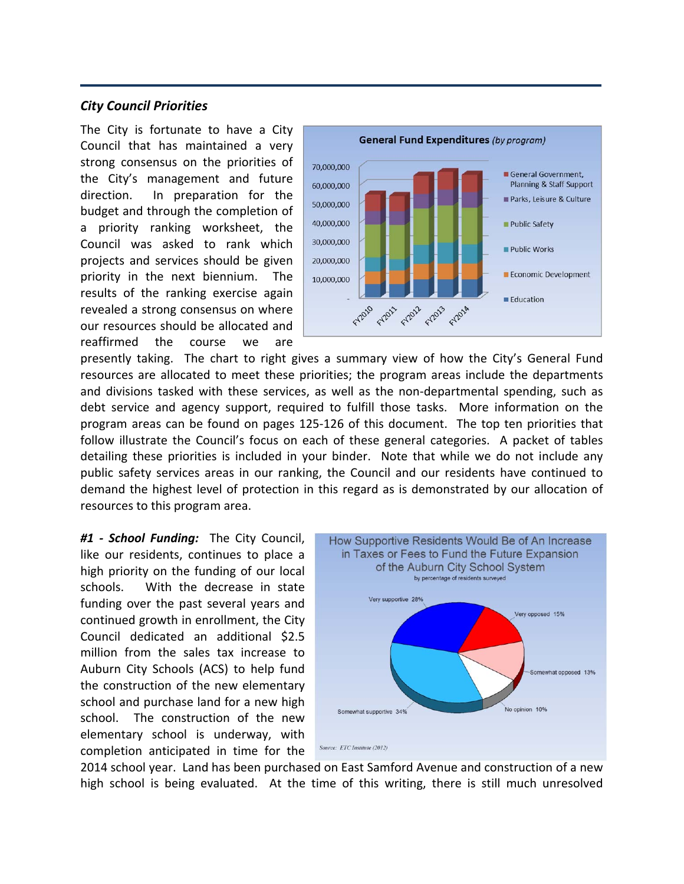#### *City Council Priorities*

The City is fortunate to have a City Council that has maintained a very strong consensus on the priorities of the City's management and future direction. In preparation for the budget and through the completion of a priority ranking worksheet, the Council was asked to rank which projects and services should be given priority in the next biennium. The results of the ranking exercise again revealed a strong consensus on where our resources should be allocated and reaffirmed the course we are



presently taking. The chart to right gives a summary view of how the City's General Fund resources are allocated to meet these priorities; the program areas include the departments and divisions tasked with these services, as well as the non-departmental spending, such as debt service and agency support, required to fulfill those tasks. More information on the program areas can be found on pages 125‐126 of this document. The top ten priorities that follow illustrate the Council's focus on each of these general categories. A packet of tables detailing these priorities is included in your binder. Note that while we do not include any public safety services areas in our ranking, the Council and our residents have continued to demand the highest level of protection in this regard as is demonstrated by our allocation of resources to this program area.

*#1 ‐ School Funding:*  The City Council, like our residents, continues to place a high priority on the funding of our local schools. With the decrease in state funding over the past several years and continued growth in enrollment, the City Council dedicated an additional \$2.5 million from the sales tax increase to Auburn City Schools (ACS) to help fund the construction of the new elementary school and purchase land for a new high school. The construction of the new elementary school is underway, with completion anticipated in time for the



2014 school year. Land has been purchased on East Samford Avenue and construction of a new high school is being evaluated. At the time of this writing, there is still much unresolved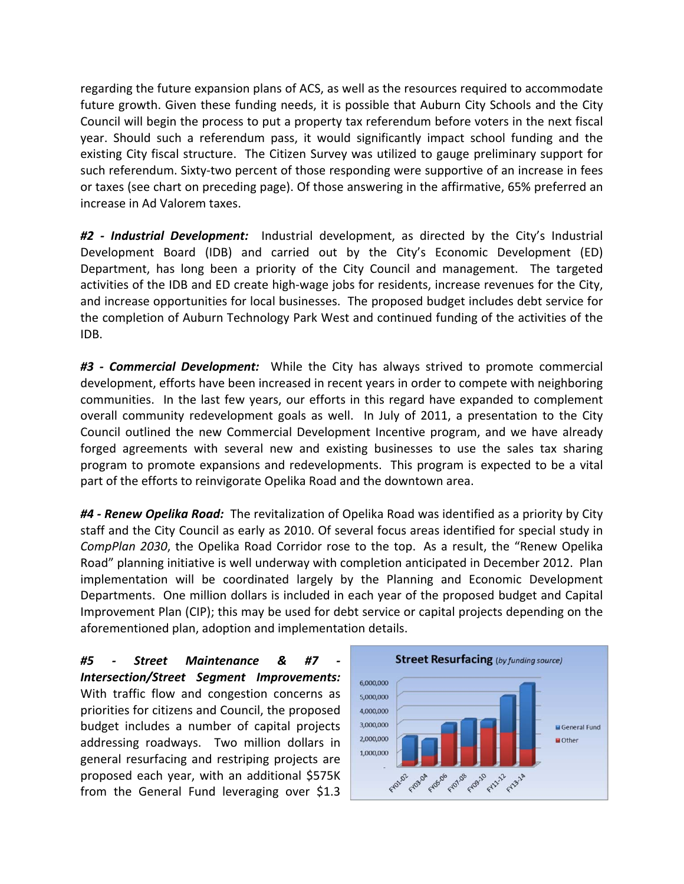regarding the future expansion plans of ACS, as well as the resources required to accommodate future growth. Given these funding needs, it is possible that Auburn City Schools and the City Council will begin the process to put a property tax referendum before voters in the next fiscal year. Should such a referendum pass, it would significantly impact school funding and the existing City fiscal structure. The Citizen Survey was utilized to gauge preliminary support for such referendum. Sixty-two percent of those responding were supportive of an increase in fees or taxes (see chart on preceding page). Of those answering in the affirmative, 65% preferred an increase in Ad Valorem taxes.

*#2 ‐ Industrial Development:*  Industrial development, as directed by the City's Industrial Development Board (IDB) and carried out by the City's Economic Development (ED) Department, has long been a priority of the City Council and management. The targeted activities of the IDB and ED create high‐wage jobs for residents, increase revenues for the City, and increase opportunities for local businesses. The proposed budget includes debt service for the completion of Auburn Technology Park West and continued funding of the activities of the IDB.

*#3 ‐ Commercial Development:*  While the City has always strived to promote commercial development, efforts have been increased in recent years in order to compete with neighboring communities. In the last few years, our efforts in this regard have expanded to complement overall community redevelopment goals as well. In July of 2011, a presentation to the City Council outlined the new Commercial Development Incentive program, and we have already forged agreements with several new and existing businesses to use the sales tax sharing program to promote expansions and redevelopments. This program is expected to be a vital part of the efforts to reinvigorate Opelika Road and the downtown area.

*#4 ‐ Renew Opelika Road:* The revitalization of Opelika Road was identified as a priority by City staff and the City Council as early as 2010. Of several focus areas identified for special study in *CompPlan 2030*, the Opelika Road Corridor rose to the top. As a result, the "Renew Opelika Road" planning initiative is well underway with completion anticipated in December 2012. Plan implementation will be coordinated largely by the Planning and Economic Development Departments. One million dollars is included in each year of the proposed budget and Capital Improvement Plan (CIP); this may be used for debt service or capital projects depending on the aforementioned plan, adoption and implementation details.

*#5 ‐ Street Maintenance & #7 ‐ Intersection/Street Segment Improvements:*  With traffic flow and congestion concerns as priorities for citizens and Council, the proposed budget includes a number of capital projects addressing roadways. Two million dollars in general resurfacing and restriping projects are proposed each year, with an additional \$575K from the General Fund leveraging over \$1.3

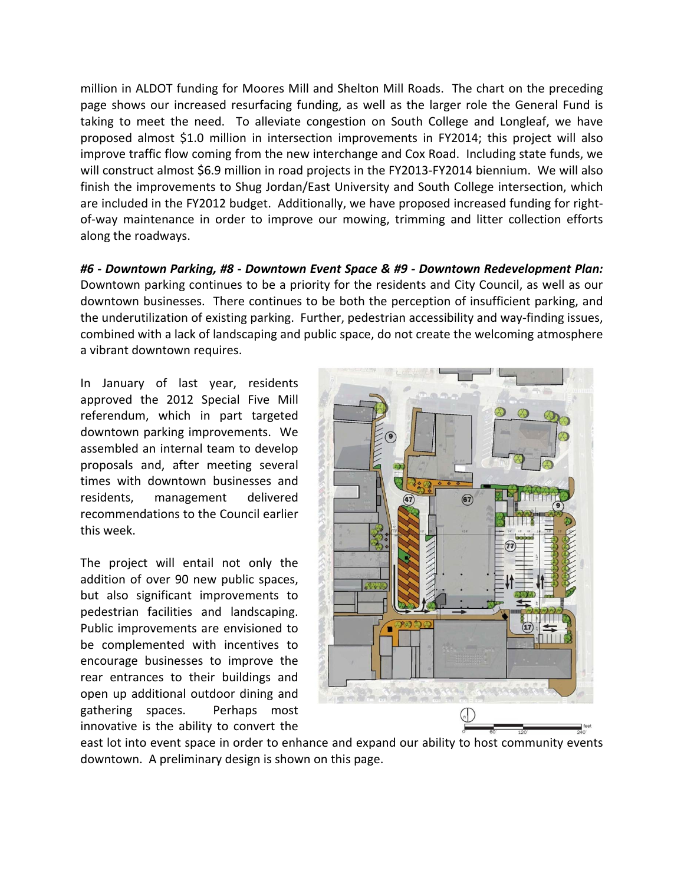million in ALDOT funding for Moores Mill and Shelton Mill Roads. The chart on the preceding page shows our increased resurfacing funding, as well as the larger role the General Fund is taking to meet the need. To alleviate congestion on South College and Longleaf, we have proposed almost \$1.0 million in intersection improvements in FY2014; this project will also improve traffic flow coming from the new interchange and Cox Road. Including state funds, we will construct almost \$6.9 million in road projects in the FY2013-FY2014 biennium. We will also finish the improvements to Shug Jordan/East University and South College intersection, which are included in the FY2012 budget. Additionally, we have proposed increased funding for rightof-way maintenance in order to improve our mowing, trimming and litter collection efforts along the roadways.

*#6 ‐ Downtown Parking, #8 ‐ Downtown Event Space & #9 ‐ Downtown Redevelopment Plan:*  Downtown parking continues to be a priority for the residents and City Council, as well as our downtown businesses. There continues to be both the perception of insufficient parking, and the underutilization of existing parking. Further, pedestrian accessibility and way‐finding issues, combined with a lack of landscaping and public space, do not create the welcoming atmosphere a vibrant downtown requires.

In January of last year, residents approved the 2012 Special Five Mill referendum, which in part targeted downtown parking improvements. We assembled an internal team to develop proposals and, after meeting several times with downtown businesses and residents, management delivered recommendations to the Council earlier this week.

The project will entail not only the addition of over 90 new public spaces, but also significant improvements to pedestrian facilities and landscaping. Public improvements are envisioned to be complemented with incentives to encourage businesses to improve the rear entrances to their buildings and open up additional outdoor dining and gathering spaces. Perhaps most innovative is the ability to convert the



east lot into event space in order to enhance and expand our ability to host community events downtown. A preliminary design is shown on this page.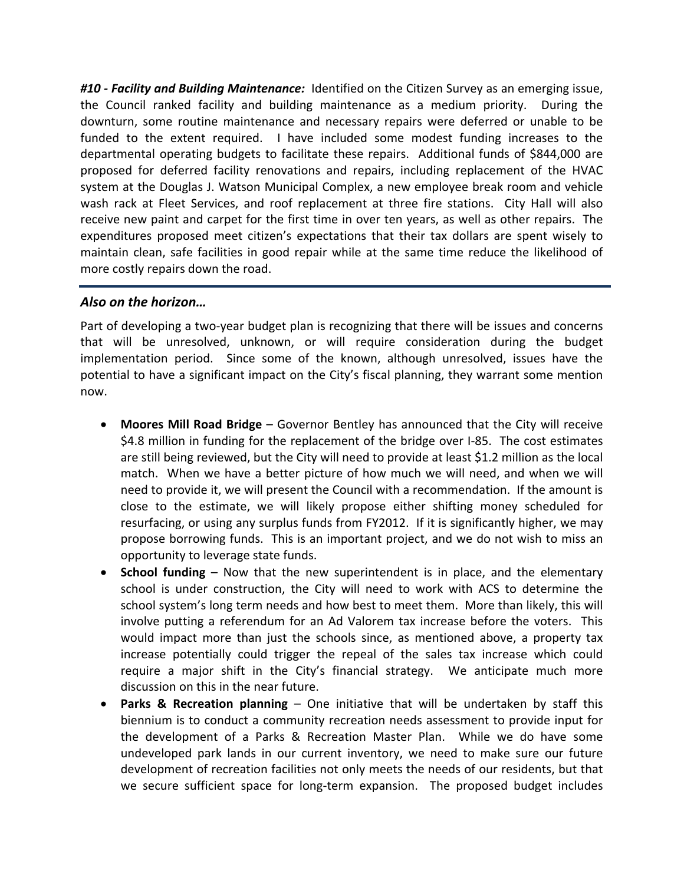*#10 ‐ Facility and Building Maintenance:* Identified on the Citizen Survey as an emerging issue, the Council ranked facility and building maintenance as a medium priority. During the downturn, some routine maintenance and necessary repairs were deferred or unable to be funded to the extent required. I have included some modest funding increases to the departmental operating budgets to facilitate these repairs. Additional funds of \$844,000 are proposed for deferred facility renovations and repairs, including replacement of the HVAC system at the Douglas J. Watson Municipal Complex, a new employee break room and vehicle wash rack at Fleet Services, and roof replacement at three fire stations. City Hall will also receive new paint and carpet for the first time in over ten years, as well as other repairs. The expenditures proposed meet citizen's expectations that their tax dollars are spent wisely to maintain clean, safe facilities in good repair while at the same time reduce the likelihood of more costly repairs down the road.

#### *Also on the horizon…*

Part of developing a two-year budget plan is recognizing that there will be issues and concerns that will be unresolved, unknown, or will require consideration during the budget implementation period. Since some of the known, although unresolved, issues have the potential to have a significant impact on the City's fiscal planning, they warrant some mention now.

- **Moores Mill Road Bridge** Governor Bentley has announced that the City will receive \$4.8 million in funding for the replacement of the bridge over I-85. The cost estimates are still being reviewed, but the City will need to provide at least \$1.2 million as the local match. When we have a better picture of how much we will need, and when we will need to provide it, we will present the Council with a recommendation. If the amount is close to the estimate, we will likely propose either shifting money scheduled for resurfacing, or using any surplus funds from FY2012. If it is significantly higher, we may propose borrowing funds. This is an important project, and we do not wish to miss an opportunity to leverage state funds.
- **School funding** Now that the new superintendent is in place, and the elementary school is under construction, the City will need to work with ACS to determine the school system's long term needs and how best to meet them. More than likely, this will involve putting a referendum for an Ad Valorem tax increase before the voters. This would impact more than just the schools since, as mentioned above, a property tax increase potentially could trigger the repeal of the sales tax increase which could require a major shift in the City's financial strategy. We anticipate much more discussion on this in the near future.
- **Parks & Recreation planning** One initiative that will be undertaken by staff this biennium is to conduct a community recreation needs assessment to provide input for the development of a Parks & Recreation Master Plan. While we do have some undeveloped park lands in our current inventory, we need to make sure our future development of recreation facilities not only meets the needs of our residents, but that we secure sufficient space for long-term expansion. The proposed budget includes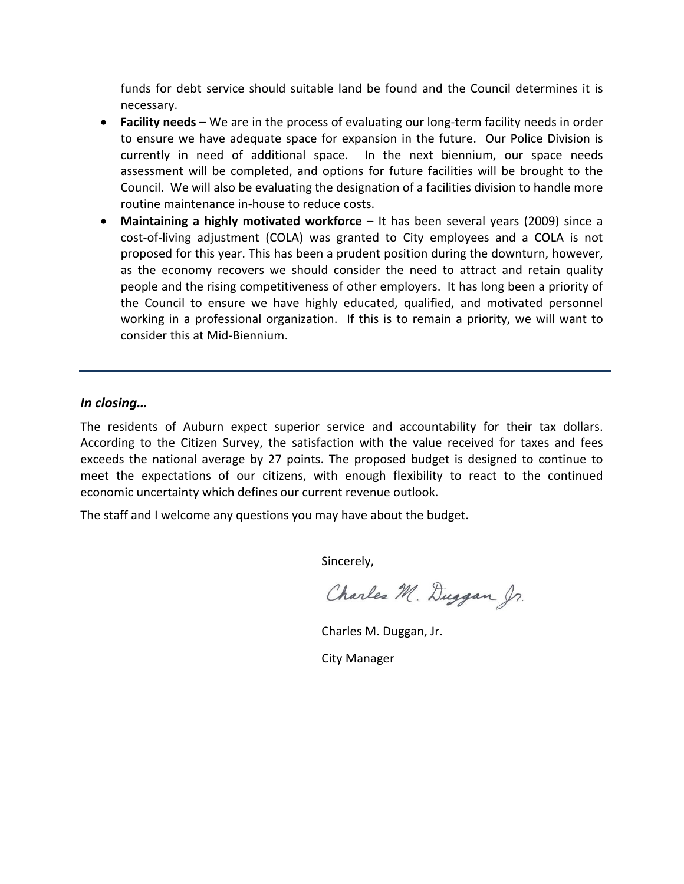funds for debt service should suitable land be found and the Council determines it is necessary.

- **Facility needs** We are in the process of evaluating our long-term facility needs in order to ensure we have adequate space for expansion in the future. Our Police Division is currently in need of additional space. In the next biennium, our space needs assessment will be completed, and options for future facilities will be brought to the Council. We will also be evaluating the designation of a facilities division to handle more routine maintenance in‐house to reduce costs.
- **Maintaining a highly motivated workforce** It has been several years (2009) since a cost-of-living adjustment (COLA) was granted to City employees and a COLA is not proposed for this year. This has been a prudent position during the downturn, however, as the economy recovers we should consider the need to attract and retain quality people and the rising competitiveness of other employers. It has long been a priority of the Council to ensure we have highly educated, qualified, and motivated personnel working in a professional organization. If this is to remain a priority, we will want to consider this at Mid‐Biennium.

#### *In closing…*

The residents of Auburn expect superior service and accountability for their tax dollars. According to the Citizen Survey, the satisfaction with the value received for taxes and fees exceeds the national average by 27 points. The proposed budget is designed to continue to meet the expectations of our citizens, with enough flexibility to react to the continued economic uncertainty which defines our current revenue outlook.

The staff and I welcome any questions you may have about the budget.

Sincerely,

Charles M. Duggan Jr.

Charles M. Duggan, Jr.

City Manager